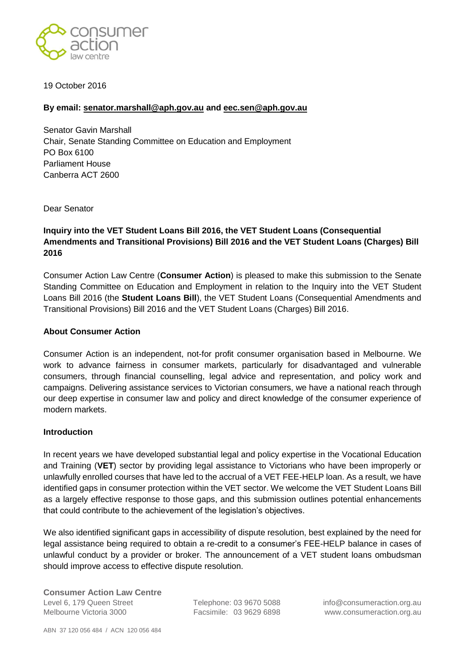

19 October 2016

# **By email: [senator.marshall@aph.gov.au](mailto:senator.marshall@aph.gov.au) and [eec.sen@aph.gov.au](mailto:eec.sen@aph.gov.au)**

Senator Gavin Marshall Chair, Senate Standing Committee on Education and Employment PO Box 6100 Parliament House Canberra ACT 2600

Dear Senator

# **Inquiry into the VET Student Loans Bill 2016, the VET Student Loans (Consequential Amendments and Transitional Provisions) Bill 2016 and the VET Student Loans (Charges) Bill 2016**

Consumer Action Law Centre (**Consumer Action**) is pleased to make this submission to the Senate Standing Committee on Education and Employment in relation to the Inquiry into the VET Student Loans Bill 2016 (the **Student Loans Bill**), the VET Student Loans (Consequential Amendments and Transitional Provisions) Bill 2016 and the VET Student Loans (Charges) Bill 2016.

### **About Consumer Action**

Consumer Action is an independent, not-for profit consumer organisation based in Melbourne. We work to advance fairness in consumer markets, particularly for disadvantaged and vulnerable consumers, through financial counselling, legal advice and representation, and policy work and campaigns. Delivering assistance services to Victorian consumers, we have a national reach through our deep expertise in consumer law and policy and direct knowledge of the consumer experience of modern markets.

### **Introduction**

In recent years we have developed substantial legal and policy expertise in the Vocational Education and Training (**VET**) sector by providing legal assistance to Victorians who have been improperly or unlawfully enrolled courses that have led to the accrual of a VET FEE-HELP loan. As a result, we have identified gaps in consumer protection within the VET sector. We welcome the VET Student Loans Bill as a largely effective response to those gaps, and this submission outlines potential enhancements that could contribute to the achievement of the legislation's objectives.

We also identified significant gaps in accessibility of dispute resolution, best explained by the need for legal assistance being required to obtain a re-credit to a consumer's FEE-HELP balance in cases of unlawful conduct by a provider or broker. The announcement of a VET student loans ombudsman should improve access to effective dispute resolution.

**Consumer Action Law Centre** Level 6, 179 Queen Street Telephone: 03 9670 5088 info@consumeraction.org.au Melbourne Victoria 3000 Facsimile: 03 9629 6898 www.consumeraction.org.au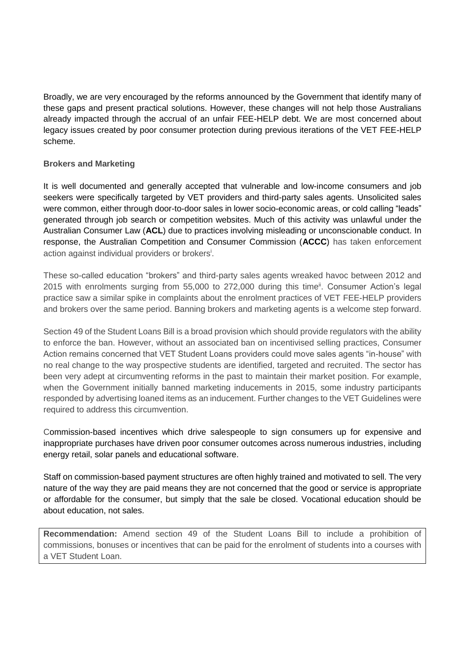Broadly, we are very encouraged by the reforms announced by the Government that identify many of these gaps and present practical solutions. However, these changes will not help those Australians already impacted through the accrual of an unfair FEE-HELP debt. We are most concerned about legacy issues created by poor consumer protection during previous iterations of the VET FEE-HELP scheme.

# **Brokers and Marketing**

It is well documented and generally accepted that vulnerable and low-income consumers and job seekers were specifically targeted by VET providers and third-party sales agents. Unsolicited sales were common, either through door-to-door sales in lower socio-economic areas, or cold calling "leads" generated through job search or competition websites. Much of this activity was unlawful under the Australian Consumer Law (**ACL**) due to practices involving misleading or unconscionable conduct. In response, the Australian Competition and Consumer Commission (**ACCC**) has taken enforcement action against individual providers or brokers<sup>i</sup>.

These so-called education "brokers" and third-party sales agents wreaked havoc between 2012 and 2015 with enrolments surging from 55,000 to 272,000 during this time<sup>ii</sup>. Consumer Action's legal practice saw a similar spike in complaints about the enrolment practices of VET FEE-HELP providers and brokers over the same period. Banning brokers and marketing agents is a welcome step forward.

Section 49 of the Student Loans Bill is a broad provision which should provide regulators with the ability to enforce the ban. However, without an associated ban on incentivised selling practices, Consumer Action remains concerned that VET Student Loans providers could move sales agents "in-house" with no real change to the way prospective students are identified, targeted and recruited. The sector has been very adept at circumventing reforms in the past to maintain their market position. For example, when the Government initially banned marketing inducements in 2015, some industry participants responded by advertising loaned items as an inducement. Further changes to the VET Guidelines were required to address this circumvention.

Commission-based incentives which drive salespeople to sign consumers up for expensive and inappropriate purchases have driven poor consumer outcomes across numerous industries, including energy retail, solar panels and educational software.

Staff on commission-based payment structures are often highly trained and motivated to sell. The very nature of the way they are paid means they are not concerned that the good or service is appropriate or affordable for the consumer, but simply that the sale be closed. Vocational education should be about education, not sales.

**Recommendation:** Amend section 49 of the Student Loans Bill to include a prohibition of commissions, bonuses or incentives that can be paid for the enrolment of students into a courses with a VET Student Loan.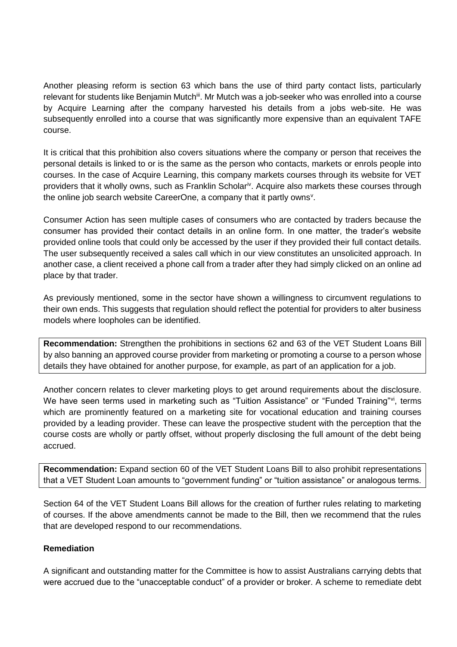Another pleasing reform is section 63 which bans the use of third party contact lists, particularly relevant for students like Benjamin Mutch<sup>iii</sup>. Mr Mutch was a job-seeker who was enrolled into a course by Acquire Learning after the company harvested his details from a jobs web-site. He was subsequently enrolled into a course that was significantly more expensive than an equivalent TAFE course.

It is critical that this prohibition also covers situations where the company or person that receives the personal details is linked to or is the same as the person who contacts, markets or enrols people into courses. In the case of Acquire Learning, this company markets courses through its website for VET providers that it wholly owns, such as Franklin Scholar<sup>iv</sup>. Acquire also markets these courses through the online job search website CareerOne, a company that it partly owns<sup>v</sup>.

Consumer Action has seen multiple cases of consumers who are contacted by traders because the consumer has provided their contact details in an online form. In one matter, the trader's website provided online tools that could only be accessed by the user if they provided their full contact details. The user subsequently received a sales call which in our view constitutes an unsolicited approach. In another case, a client received a phone call from a trader after they had simply clicked on an online ad place by that trader.

As previously mentioned, some in the sector have shown a willingness to circumvent regulations to their own ends. This suggests that regulation should reflect the potential for providers to alter business models where loopholes can be identified.

**Recommendation:** Strengthen the prohibitions in sections 62 and 63 of the VET Student Loans Bill by also banning an approved course provider from marketing or promoting a course to a person whose details they have obtained for another purpose, for example, as part of an application for a job.

Another concern relates to clever marketing ploys to get around requirements about the disclosure. We have seen terms used in marketing such as "Tuition Assistance" or "Funded Training"<sup>vi</sup>, terms which are prominently featured on a marketing site for vocational education and training courses provided by a leading provider. These can leave the prospective student with the perception that the course costs are wholly or partly offset, without properly disclosing the full amount of the debt being accrued.

**Recommendation:** Expand section 60 of the VET Student Loans Bill to also prohibit representations that a VET Student Loan amounts to "government funding" or "tuition assistance" or analogous terms.

Section 64 of the VET Student Loans Bill allows for the creation of further rules relating to marketing of courses. If the above amendments cannot be made to the Bill, then we recommend that the rules that are developed respond to our recommendations.

### **Remediation**

A significant and outstanding matter for the Committee is how to assist Australians carrying debts that were accrued due to the "unacceptable conduct" of a provider or broker. A scheme to remediate debt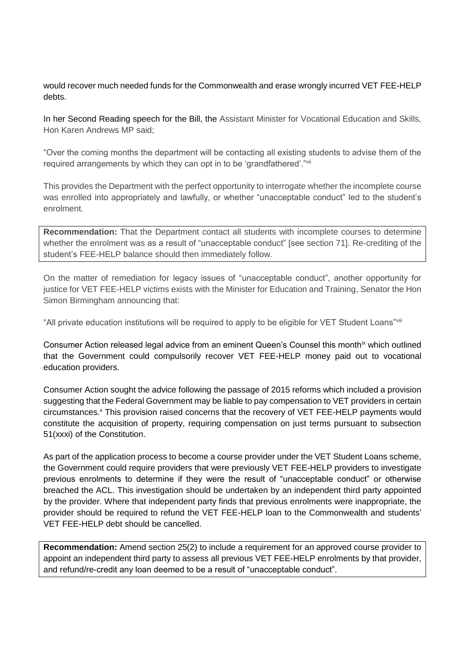would recover much needed funds for the Commonwealth and erase wrongly incurred VET FEE-HELP debts.

In her Second Reading speech for the Bill, the Assistant Minister for Vocational Education and Skills, Hon Karen Andrews MP said;

"Over the coming months the department will be contacting all existing students to advise them of the required arrangements by which they can opt in to be 'grandfathered'."vii

This provides the Department with the perfect opportunity to interrogate whether the incomplete course was enrolled into appropriately and lawfully, or whether "unacceptable conduct" led to the student's enrolment.

**Recommendation:** That the Department contact all students with incomplete courses to determine whether the enrolment was as a result of "unacceptable conduct" [see section 71]. Re-crediting of the student's FEE-HELP balance should then immediately follow.

On the matter of remediation for legacy issues of "unacceptable conduct", another opportunity for justice for VET FEE-HELP victims exists with the Minister for Education and Training, Senator the Hon Simon Birmingham announcing that:

"All private education institutions will be required to apply to be eligible for VET Student Loans"viii

Consumer Action released legal advice from an eminent Queen's Counsel this month<sup>ix</sup> which outlined that the Government could compulsorily recover VET FEE-HELP money paid out to vocational education providers.

Consumer Action sought the advice following the passage of 2015 reforms which included a provision suggesting that the Federal Government may be liable to pay compensation to VET providers in certain circumstances.<sup>x</sup> This provision raised concerns that the recovery of VET FEE-HELP payments would constitute the acquisition of property, requiring compensation on just terms pursuant to subsection 51(xxxi) of the Constitution.

As part of the application process to become a course provider under the VET Student Loans scheme, the Government could require providers that were previously VET FEE-HELP providers to investigate previous enrolments to determine if they were the result of "unacceptable conduct" or otherwise breached the ACL. This investigation should be undertaken by an independent third party appointed by the provider. Where that independent party finds that previous enrolments were inappropriate, the provider should be required to refund the VET FEE-HELP loan to the Commonwealth and students' VET FEE-HELP debt should be cancelled.

**Recommendation:** Amend section 25(2) to include a requirement for an approved course provider to appoint an independent third party to assess all previous VET FEE-HELP enrolments by that provider, and refund/re-credit any loan deemed to be a result of "unacceptable conduct".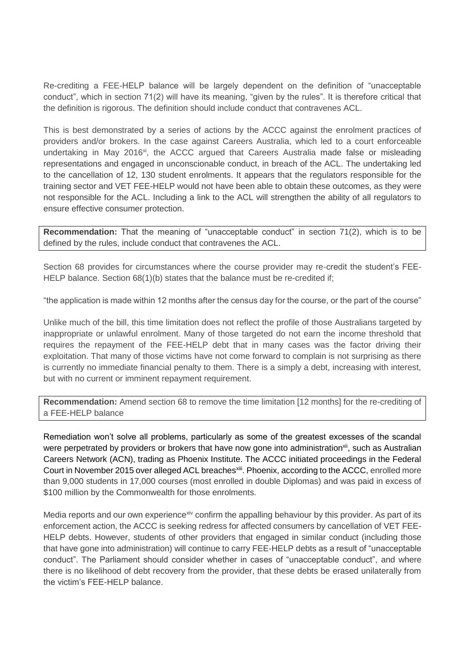Re-crediting a FEE-HELP balance will be largely dependent on the definition of "unacceptable conduct", which in section 71(2) will have its meaning, "given by the rules". It is therefore critical that the definition is rigorous. The definition should include conduct that contravenes ACL.

This is best demonstrated by a series of actions by the ACCC against the enrolment practices of providers and/or brokers. In the case against Careers Australia, which led to a court enforceable undertaking in May 2016<sup>xi</sup>, the ACCC argued that Careers Australia made false or misleading representations and engaged in unconscionable conduct, in breach of the ACL. The undertaking led to the cancellation of 12, 130 student enrolments. It appears that the regulators responsible for the training sector and VET FEE-HELP would not have been able to obtain these outcomes, as they were not responsible for the ACL. Including a link to the ACL will strengthen the ability of all regulators to ensure effective consumer protection.

**Recommendation:** That the meaning of "unacceptable conduct" in section 71(2), which is to be defined by the rules, include conduct that contravenes the ACL.

Section 68 provides for circumstances where the course provider may re-credit the student's FEE-HELP balance. Section 68(1)(b) states that the balance must be re-credited if;

"the application is made within 12 months after the census day for the course, or the part of the course"

Unlike much of the bill, this time limitation does not reflect the profile of those Australians targeted by inappropriate or unlawful enrolment. Many of those targeted do not earn the income threshold that requires the repayment of the FEE-HELP debt that in many cases was the factor driving their exploitation. That many of those victims have not come forward to complain is not surprising as there is currently no immediate financial penalty to them. There is a simply a debt, increasing with interest, but with no current or imminent repayment requirement.

**Recommendation:** Amend section 68 to remove the time limitation [12 months] for the re-crediting of a FEE-HELP balance

Remediation won't solve all problems, particularly as some of the greatest excesses of the scandal were perpetrated by providers or brokers that have now gone into administration<sup>xii</sup>, such as Australian Careers Network (ACN), trading as Phoenix Institute. The ACCC initiated proceedings in the Federal Court in November 2015 over alleged ACL breaches<sup>xiii</sup>. Phoenix, according to the ACCC, enrolled more than 9,000 students in 17,000 courses (most enrolled in double Diplomas) and was paid in excess of \$100 million by the Commonwealth for those enrolments.

Media reports and our own experience<sup>xiv</sup> confirm the appalling behaviour by this provider. As part of its enforcement action, the ACCC is seeking redress for affected consumers by cancellation of VET FEE-HELP debts. However, students of other providers that engaged in similar conduct (including those that have gone into administration) will continue to carry FEE-HELP debts as a result of "unacceptable conduct". The Parliament should consider whether in cases of "unacceptable conduct", and where there is no likelihood of debt recovery from the provider, that these debts be erased unilaterally from the victim's FEE-HELP balance.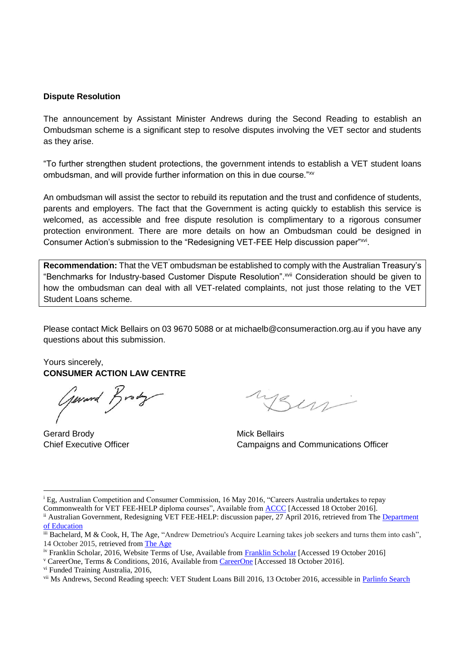#### **Dispute Resolution**

The announcement by Assistant Minister Andrews during the Second Reading to establish an Ombudsman scheme is a significant step to resolve disputes involving the VET sector and students as they arise.

"To further strengthen student protections, the government intends to establish a VET student loans ombudsman, and will provide further information on this in due course."xv

An ombudsman will assist the sector to rebuild its reputation and the trust and confidence of students, parents and employers. The fact that the Government is acting quickly to establish this service is welcomed, as accessible and free dispute resolution is complimentary to a rigorous consumer protection environment. There are more details on how an Ombudsman could be designed in Consumer Action's submission to the "Redesigning VET-FEE Help discussion paper"xvi.

**Recommendation:** That the VET ombudsman be established to comply with the Australian Treasury's "Benchmarks for Industry-based Customer Dispute Resolution".xvii Consideration should be given to how the ombudsman can deal with all VET-related complaints, not just those relating to the VET Student Loans scheme.

Please contact Mick Bellairs on 03 9670 5088 or at michaelb@consumeraction.org.au if you have any questions about this submission.

Yours sincerely, **CONSUMER ACTION LAW CENTRE** 

General Brody

Gerard Brody **Mick Bellairs Gerard Brody** 

<u>.</u>

ysen

Chief Executive Officer Chief Executive Officer Campaigns and Communications Officer

<sup>i</sup> Eg, Australian Competition and Consumer Commission, 16 May 2016, "Careers Australia undertakes to repay

Commonwealth for VET FEE-HELP diploma courses", Available from [ACCC](https://www.accc.gov.au/media-release/careers-australia-undertakes-to-repay-commonwealth-for-vet-fee-help-diploma-courses) [Accessed 18 October 2016]. <sup>ii</sup> Australian Government, Redesigning VET FEE-HELP: discussion paper, 27 April 2016, retrieved from The Department [of Education](https://docs.education.gov.au/system/files/doc/other/redesigning_vet_fee-help_-_discussion_paper_0_0.pdf)

iii Bachelard, M & Cook, H, The Age, "Andrew Demetriou's Acquire Learning takes job seekers and turns them into cash", 14 October 2015, retrieved from [The Age](http://www.theage.com.au/victoria/andrew-demetrious-acquire-learning-takes-job-seekers-and-turns-them-into-cash-20151014-gk92d7.html)

iv Franklin Scholar, 2016, Website Terms of Use, Available from [Franklin Scholar](http://study.franklynscholar.edu.au/) [Accessed 19 October 2016]

<sup>v</sup> CareerOne, Terms & Conditions, 2016, Available from [CareerOne](http://www.careeroneeducation.com.au/terms-of-use) [Accessed 18 October 2016].

vi Funded Training Australia, 2016,

vii Ms Andrews, Second Reading speech: VET Student Loans Bill 2016, 13 October 2016, accessible in [Parlinfo Search](http://parlinfo.aph.gov.au/parlInfo/search/display/display.w3p;db=CHAMBER;id=chamber%2Fhansardr%2Ff2541705-5a09-4607-bf3f-1d6fd9b611ff%2F0030;query=Id%3A%22chamber%2Fhansardr%2Ff2541705-5a09-4607-bf3f-1d6fd9b611ff%2F0029%22)